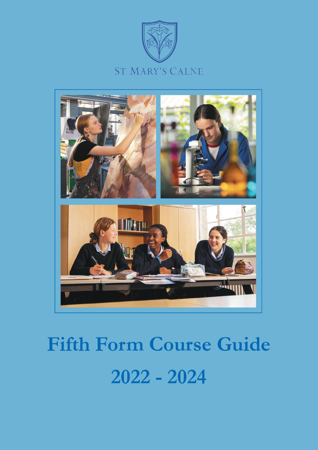



# **Fifth Form Course Guide**  $2022 - 2024$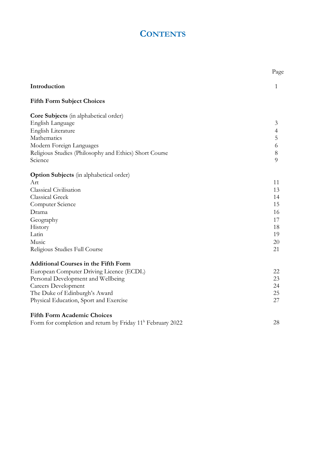# **CONTENTS**

|                                                                        | Page           |
|------------------------------------------------------------------------|----------------|
| Introduction                                                           | 1              |
| <b>Fifth Form Subject Choices</b>                                      |                |
| Core Subjects (in alphabetical order)                                  |                |
| English Language                                                       | 3              |
| English Literature                                                     | $\overline{4}$ |
| Mathematics                                                            | 5              |
| Modern Foreign Languages                                               | 6              |
| Religious Studies (Philosophy and Ethics) Short Course                 | 8              |
| Science                                                                | $\overline{Q}$ |
| <b>Option Subjects</b> (in alphabetical order)                         |                |
| Art                                                                    | 11             |
| Classical Civilisation                                                 | 13             |
| <b>Classical Greek</b>                                                 | 14             |
| Computer Science                                                       | 15             |
| Drama                                                                  | 16             |
| Geography                                                              | 17             |
| History                                                                | 18             |
| Latin                                                                  | 19             |
| Music                                                                  | 20             |
| Religious Studies Full Course                                          | 21             |
| <b>Additional Courses in the Fifth Form</b>                            |                |
| European Computer Driving Licence (ECDL)                               | 22             |
| Personal Development and Wellbeing                                     | 23             |
| <b>Careers Development</b>                                             | 24             |
| The Duke of Edinburgh's Award                                          | 25             |
| Physical Education, Sport and Exercise                                 | 27             |
| <b>Fifth Form Academic Choices</b>                                     |                |
| Form for completion and return by Friday 11 <sup>h</sup> February 2022 | 28             |
|                                                                        |                |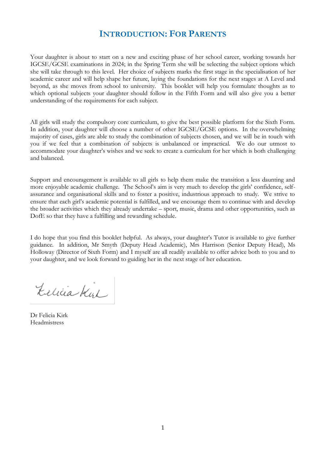# **INTRODUCTION: FOR PARENTS**

Your daughter is about to start on a new and exciting phase of her school career, working towards her IGCSE/GCSE examinations in 2024; in the Spring Term she will be selecting the subject options which she will take through to this level. Her choice of subjects marks the first stage in the specialisation of her academic career and will help shape her future, laying the foundations for the next stages at A Level and beyond, as she moves from school to university. This booklet will help you formulate thoughts as to which optional subjects your daughter should follow in the Fifth Form and will also give you a better understanding of the requirements for each subject.

All girls will study the compulsory core curriculum, to give the best possible platform for the Sixth Form. In addition, your daughter will choose a number of other IGCSE/GCSE options. In the overwhelming majority of cases, girls are able to study the combination of subjects chosen, and we will be in touch with you if we feel that a combination of subjects is unbalanced or impractical. We do our utmost to accommodate your daughter's wishes and we seek to create a curriculum for her which is both challenging and balanced.

Support and encouragement is available to all girls to help them make the transition a less daunting and more enjoyable academic challenge. The School's aim is very much to develop the girls' confidence, selfassurance and organisational skills and to foster a positive, industrious approach to study. We strive to ensure that each girl's academic potential is fulfilled, and we encourage them to continue with and develop the broader activities which they already undertake – sport, music, drama and other opportunities, such as DofE so that they have a fulfilling and rewarding schedule.

I do hope that you find this booklet helpful. As always, your daughter's Tutor is available to give further guidance. In addition, Mr Smyth (Deputy Head Academic), Mrs Harrison (Senior Deputy Head), Ms Holloway (Director of Sixth Form) and I myself are all readily available to offer advice both to you and to your daughter, and we look forward to guiding her in the next stage of her education.

Lelicia Kirl

Dr Felicia Kirk Headmistress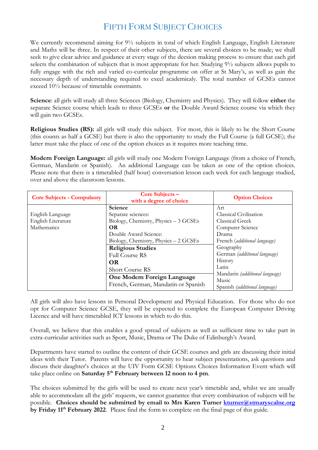# FIFTH FORM SUBJECT CHOICES

We currently recommend aiming for  $9\frac{1}{2}$  subjects in total of which English Language, English Literature and Maths will be three. In respect of their other subjects, there are several choices to be made; we shall seek to give clear advice and guidance at every stage of the decsion making process to ensure that each girl selects the combination of subjects that is most appropriate for her. Studying 9½ subjects allows pupils to fully engage with the rich and varied co-curricular programme on offer at St Mary's, as well as gain the necessary depth of understanding required to excel academicaly. The total number of GCSEs cannot exceed 10½ because of timetable constraints.

**Science**: all girls will study all three Sciences (Biology, Chemistry and Physics). They will follow **either** the separate Science course which leads to three GCSEs **or** the Double Award Science course via which they will gain two GCSEs.

**Religious Studies (RS):** all girls will study this subject. For most, this is likely to be the Short Course (this counts as half a GCSE) but there is also the opportunity to study the Full Course (a full GCSE); the latter must take the place of one of the option choices as it requires more teaching time.

**Modern Foreign Language:** all girls will study one Modern Foreign Language (from a choice of French, German, Mandarin or Spanish). An additional Language can be taken as one of the option choices. Please note that there is a timetabled (half hour) conversation lesson each week for each language studied, over and above the classroom lessons.

| <b>Core Subjects - Compulsory</b> | Core Subjects -<br>with a degree of choice | <b>Option Choices</b>                |
|-----------------------------------|--------------------------------------------|--------------------------------------|
|                                   | Science                                    | Art                                  |
| English Language                  | Separate sciences:                         | Classical Civilisation               |
| English Literature                | Biology, Chemistry, Physics - 3 GCSEs      | Classical Greek                      |
| Mathematics                       | <b>OR</b>                                  | Computer Science                     |
|                                   | Double Award Science:                      | Drama                                |
|                                   | Biology, Chemistry, Physics - 2 GCSEs      | French (additional language)         |
|                                   | <b>Religious Studies</b>                   | Geography                            |
|                                   | <b>Full Course RS</b>                      | German (additional language)         |
|                                   | <b>OR</b>                                  | History                              |
|                                   | <b>Short Course RS</b>                     | Latin                                |
|                                   | One Modern Foreign Language                | Mandarin (additional language)       |
|                                   |                                            | Music                                |
|                                   | French, German, Mandarin or Spanish        | Spanish <i>(additional language)</i> |

All girls will also have lessons in Personal Development and Physical Education. For those who do not opt for Computer Science GCSE, they will be expected to complete the European Computer Driving Licence and will have timetabled ICT lessons in which to do this.

Overall, we believe that this enables a good spread of subjects as well as sufficient time to take part in extra-curricular activities such as Sport, Music, Drama or The Duke of Edinburgh's Award.

Departments have started to outline the content of their GCSE courses and girls are discussing their initial ideas with their Tutor. Parents will have the opportunity to hear subject presentations, ask questions and discuss their daughter's choices at the UIV Form GCSE Options Choices Information Event which will take place online on **Saturday 5th February between 12 noon to 4 pm**.

The choices submitted by the girls will be used to create next year's timetable and, whilst we are usually able to accommodate all the girls' requests, we cannot guarantee that every combination of subjects will be possible. **Choices should be submitted by email to Mrs Karen Turner [kturner@stmaryscalne.org](mailto:kturner@stmaryscalne.org) by Friday 11th February 2022**.Please find the form to complete on the final page of this guide.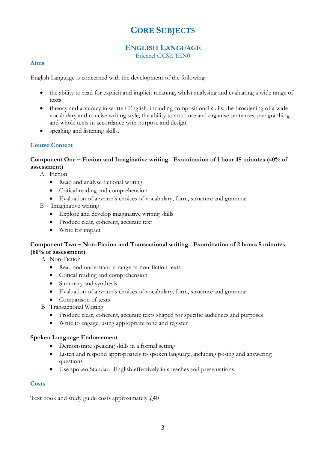# **CORE SUBJECTS**

# **ENGLISH LANGUAGE**

Edexcel GCSE 1EN0

#### **Aims**

English Language is concerned with the development of the following:

- the ability to read for explicit and implicit meaning, whilst analysing and evaluating a wide range of texts
- fluency and accuracy in written English, including compositional skills; the broadening of a wide vocabulary and concise writing style; the ability to structure and organise sentences, paragraphing and whole texts in accordance with purpose and design
- speaking and listening skills.

#### **Course Content**

#### **Component One – Fiction and Imaginative writing. Examination of 1 hour 45 minutes (40% of assessment)**

- A Fiction
	- Read and analyse fictional writing
	- Critical reading and comprehension
	- Evaluation of a writer's choices of vocabulary, form, structure and grammar
- B Imaginative writing
	- Explore and develop imaginative writing skills
	- Produce clear, coherent, accurate text
	- Write for impact

#### **Component Two – Non-Fiction and Transactional writing. Examination of 2 hours 5 minutes (60% of assessment)**

A Non-Fiction

- Read and understand a range of non-fiction texts
- Critical reading and comprehension
- Summary and synthesis
- Evaluation of a writer's choices of vocabulary, form, structure and grammar
- Comparison of texts
- B Transactional Writing
	- Produce clear, coherent, accurate texts shaped for specific audiences and purposes
	- Write to engage, using appropriate tone and register

#### **Spoken Language Endorsement**

- Demonstrate speaking skills in a formal setting
- Listen and respond appropriately to spoken language, including posing and answering questions
- Use spoken Standard English effectively in speeches and presentations

#### **Costs**

Text book and study guide costs approximately  $f$ 40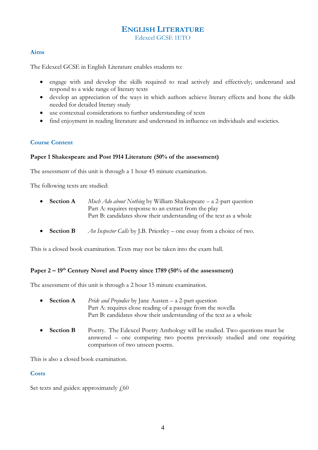# **ENGLISH LITERATURE**

Edexcel GCSE 1ETO

#### **Aims**

The Edexcel GCSE in English Literature enables students to:

- engage with and develop the skills required to read actively and effectively; understand and respond to a wide range of literary texts
- develop an appreciation of the ways in which authors achieve literary effects and hone the skills needed for detailed literary study
- use contextual considerations to further understanding of texts
- find enjoyment in reading literature and understand its influence on individuals and societies.

#### **Course Content**

#### **Paper 1 Shakespeare and Post 1914 Literature (50% of the assessment)**

The assessment of this unit is through a 1 hour 45 minute examination.

The following texts are studied:

- **Section A** *Much Ado about Nothing* by William Shakespeare a 2-part question Part A: requires response to an extract from the play Part B: candidates show their understanding of the text as a whole
- **Section B** *An Inspector Calls* by J.B. Priestley one essay from a choice of two.

This is a closed book examination. Texts may not be taken into the exam hall.

#### **Paper 2 – 19th Century Novel and Poetry since 1789 (50% of the assessment)**

The assessment of this unit is through a 2 hour 15 minute examination.

- **Section A** *Pride and Prejudice* by Jane Austen a 2-part question Part A: requires close reading of a passage from the novella Part B: candidates show their understanding of the text as a whole
- **Section B** Poetry. The Edexcel Poetry Anthology will be studied. Two questions must be answered – one comparing two poems previously studied and one requiring comparison of two unseen poems.

This is also a closed book examination.

#### **Costs**

Set texts and guides: approximately  $f_{00}$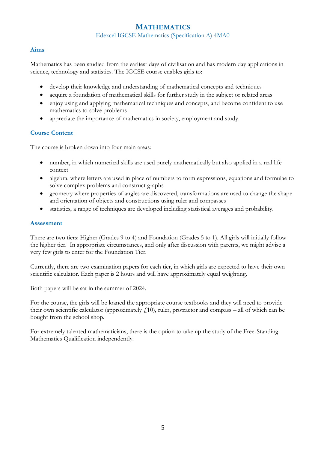## **MATHEMATICS**

Edexcel IGCSE Mathematics (Specification A) 4MA0

#### **Aims**

Mathematics has been studied from the earliest days of civilisation and has modern day applications in science, technology and statistics. The IGCSE course enables girls to:

- develop their knowledge and understanding of mathematical concepts and techniques
- acquire a foundation of mathematical skills for further study in the subject or related areas
- enjoy using and applying mathematical techniques and concepts, and become confident to use mathematics to solve problems
- appreciate the importance of mathematics in society, employment and study.

#### **Course Content**

The course is broken down into four main areas:

- number, in which numerical skills are used purely mathematically but also applied in a real life context
- algebra, where letters are used in place of numbers to form expressions, equations and formulae to solve complex problems and construct graphs
- geometry where properties of angles are discovered, transformations are used to change the shape and orientation of objects and constructions using ruler and compasses
- statistics, a range of techniques are developed including statistical averages and probability.

#### **Assessment**

There are two tiers: Higher (Grades 9 to 4) and Foundation (Grades 5 to 1). All girls will initially follow the higher tier. In appropriate circumstances, and only after discussion with parents, we might advise a very few girls to enter for the Foundation Tier.

Currently, there are two examination papers for each tier, in which girls are expected to have their own scientific calculator. Each paper is 2 hours and will have approximately equal weighting.

Both papers will be sat in the summer of 2024.

For the course, the girls will be loaned the appropriate course textbooks and they will need to provide their own scientific calculator (approximately  $f(10)$ , ruler, protractor and compass – all of which can be bought from the school shop.

For extremely talented mathematicians, there is the option to take up the study of the Free-Standing Mathematics Qualification independently.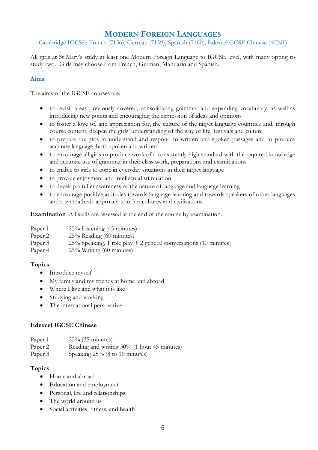# **MODERN FOREIGN LANGUAGES**

Cambridge IGCSE: French (7156), German (7159), Spanish (7160), Edexcel GCSE Chinese (4CN1)

All girls at St Mary's study at least one Modern Foreign Language to IGCSE level, with many opting to study two. Girls may choose from French, German, Mandarin and Spanish.

#### **Aims**

The aims of the IGCSE courses are:

- to revisit areas previously covered, consolidating grammar and expanding vocabulary, as well as introducing new points and encouraging the expression of ideas and opinions
- to foster a love of, and appreciation for, the culture of the target language countries and, through course content, deepen the girls' understanding of the way of life, festivals and culture
- to prepare the girls to understand and respond to written and spoken passages and to produce accurate language, both spoken and written
- to encourage all girls to produce work of a consistently high standard with the required knowledge and accurate use of grammar in their class work, preparations and examinations
- to enable to girls to cope in everyday situations in their target language
- to provide enjoyment and intellectual stimulation
- to develop a fuller awareness of the nature of language and language learning
- to encourage positive attitudes towards language learning and towards speakers of other languages and a sympathetic approach to other cultures and civilisations.

**Examination** All skills are assessed at the end of the course by examination.

| Paper 1 | $25\%$ Listening (45 minutes)                                                                                                                                                                                                                             |
|---------|-----------------------------------------------------------------------------------------------------------------------------------------------------------------------------------------------------------------------------------------------------------|
| Paper 2 | $25\%$ Reading (60 minutes)                                                                                                                                                                                                                               |
| Paper 3 | $25\%$ Speaking, 1 role play + 2 general conversations (10 minutes)                                                                                                                                                                                       |
|         | $\alpha$ = 0 $\ell$ = 3 $\pi$ = 3 $\pi$ = 3 $\pi$ = 3 $\pi$ = 3 $\pi$ = 3 $\pi$ = 3 $\pi$ = 3 $\pi$ = 3 $\pi$ = 3 $\pi$ = 3 $\pi$ = 3 $\pi$ = 3 $\pi$ = 3 $\pi$ = 3 $\pi$ = 3 $\pi$ = 3 $\pi$ = 3 $\pi$ = 3 $\pi$ = 3 $\pi$ = 3 $\pi$ = 3 $\pi$ = 3 $\pi$ |

Paper 4 25% Writing (60 minutes)

#### **Topics**

- Introduce myself
- My family and my friends at home and abroad
- Where I live and what it is like
- Studying and working
- The international perspective

#### **Edexcel IGCSE Chinese**

| Paper 1 | $25\%$ (35 minutes) |
|---------|---------------------|
|---------|---------------------|

Paper 2 Reading and writing 50% (1 hour 45 minutes)

Paper 3 Speaking 25% (8 to 10 minutes)

#### **Topics**

- Home and abroad
- Education and employment
- Personal, life and relationships
- The world around us
- Social activities, fitness, and health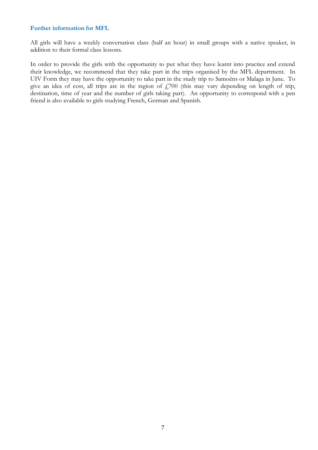#### **Further information for MFL**

All girls will have a weekly conversation class (half an hour) in small groups with a native speaker, in addition to their formal class lessons.

In order to provide the girls with the opportunity to put what they have learnt into practice and extend their knowledge, we recommend that they take part in the trips organised by the MFL department. In UIV Form they may have the opportunity to take part in the study trip to Samoëns or Malaga in June. To give an idea of cost, all trips are in the region of  $f$ 700 (this may vary depending on length of trip, destination, time of year and the number of girls taking part). An opportunity to correspond with a pen friend is also available to girls studying French, German and Spanish.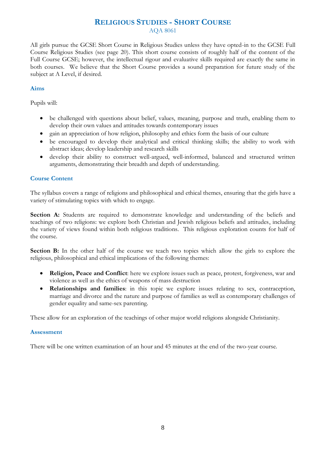## **RELIGIOUS STUDIES - SHORT COURSE**

AQA 8061

All girls pursue the GCSE Short Course in Religious Studies unless they have opted-in to the GCSE Full Course Religious Studies (see page 20). This short course consists of roughly half of the content of the Full Course GCSE; however, the intellectual rigour and evaluative skills required are exactly the same in both courses. We believe that the Short Course provides a sound preparation for future study of the subject at A Level, if desired.

#### **Aims**

Pupils will:

- be challenged with questions about belief, values, meaning, purpose and truth, enabling them to develop their own values and attitudes towards contemporary issues
- gain an appreciation of how religion, philosophy and ethics form the basis of our culture
- be encouraged to develop their analytical and critical thinking skills; the ability to work with abstract ideas; develop leadership and research skills
- develop their ability to construct well-argued, well-informed, balanced and structured written arguments, demonstrating their breadth and depth of understanding.

#### **Course Content**

The syllabus covers a range of religions and philosophical and ethical themes, ensuring that the girls have a variety of stimulating topics with which to engage.

Section A: Students are required to demonstrate knowledge and understanding of the beliefs and teachings of two religions: we explore both Christian and Jewish religious beliefs and attitudes, including the variety of views found within both religious traditions. This religious exploration counts for half of the course.

**Section B:** In the other half of the course we teach two topics which allow the girls to explore the religious, philosophical and ethical implications of the following themes:

- **Religion, Peace and Conflict**: here we explore issues such as peace, protest, forgiveness, war and violence as well as the ethics of weapons of mass destruction
- **Relationships and families**: in this topic we explore issues relating to sex, contraception, marriage and divorce and the nature and purpose of families as well as contemporary challenges of gender equality and same-sex parenting.

These allow for an exploration of the teachings of other major world religions alongside Christianity.

#### **Assessment**

There will be one written examination of an hour and 45 minutes at the end of the two-year course.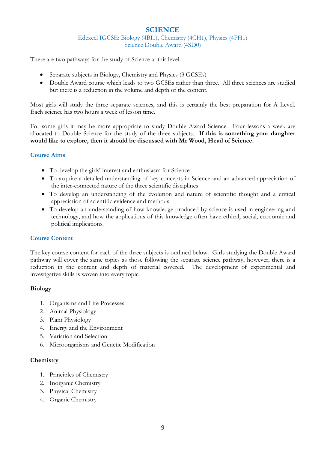#### **SCIENCE**

Edexcel IGCSE: Biology (4BI1), Chemistry (4CH1), Physics (4PH1) Science Double Award (4SD0)

There are two pathways for the study of Science at this level:

- Separate subjects in Biology, Chemistry and Physics (3 GCSEs)
- Double Award course which leads to two GCSEs rather than three. All three sciences are studied but there is a reduction in the volume and depth of the content.

Most girls will study the three separate sciences, and this is certainly the best preparation for A Level. Each science has two hours a week of lesson time.

For some girls it may be more appropriate to study Double Award Science. Four lessons a week are allocated to Double Science for the study of the three subjects. **If this is something your daughter would like to explore, then it should be discussed with Mr Wood, Head of Science.**

#### **Course Aims**

- To develop the girls' interest and enthusiasm for Science
- To acquire a detailed understanding of key concepts in Science and an advanced appreciation of the inter-connected nature of the three scientific disciplines
- To develop an understanding of the evolution and nature of scientific thought and a critical appreciation of scientific evidence and methods
- To develop an understanding of how knowledge produced by science is used in engineering and technology, and how the applications of this knowledge often have ethical, social, economic and political implications.

#### **Course Content**

The key course content for each of the three subjects is outlined below. Girls studying the Double Award pathway will cover the same topics as those following the separate science pathway, however, there is a reduction in the content and depth of material covered. The development of experimental and investigative skills is woven into every topic.

#### **Biology**

- 1. Organisms and Life Processes
- 2. Animal Physiology
- 3. Plant Physiology
- 4. Energy and the Environment
- 5. Variation and Selection
- 6. Microorganisms and Genetic Modification

#### **Chemistry**

- 1. Principles of Chemistry
- 2. Inorganic Chemistry
- 3. Physical Chemistry
- 4. Organic Chemistry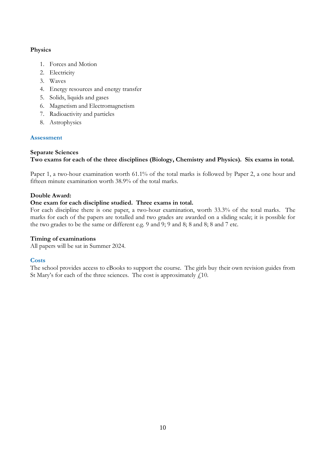#### **Physics**

- 1. Forces and Motion
- 2. Electricity
- 3. Waves
- 4. Energy resources and energy transfer
- 5. Solids, liquids and gases
- 6. Magnetism and Electromagnetism
- 7. Radioactivity and particles
- 8. Astrophysics

#### **Assessment**

#### **Separate Sciences**

#### **Two exams for each of the three disciplines (Biology, Chemistry and Physics). Six exams in total.**

Paper 1, a two-hour examination worth 61.1% of the total marks is followed by Paper 2, a one hour and fifteen minute examination worth 38.9% of the total marks.

#### **Double Award:**

#### **One exam for each discipline studied. Three exams in total.**

For each discipline there is one paper, a two-hour examination, worth 33.3% of the total marks. The marks for each of the papers are totalled and two grades are awarded on a sliding scale; it is possible for the two grades to be the same or different e.g. 9 and 9; 9 and 8; 8 and 8; 8 and 7 etc.

#### **Timing of examinations**

All papers will be sat in Summer 2024.

#### **Costs**

The school provides access to eBooks to support the course. The girls buy their own revision guides from St Mary's for each of the three sciences. The cost is approximately  $f<sub>i</sub>10$ .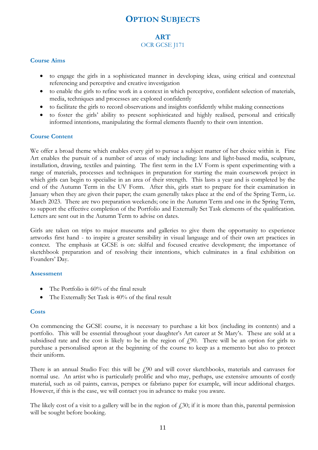# **OPTION SUBJECTS**

#### **ART** OCR GCSE J171

#### **Course Aims**

- to engage the girls in a sophisticated manner in developing ideas, using critical and contextual referencing and perceptive and creative investigation
- to enable the girls to refine work in a context in which perceptive, confident selection of materials, media, techniques and processes are explored confidently
- to facilitate the girls to record observations and insights confidently whilst making connections
- to foster the girls' ability to present sophisticated and highly realised, personal and critically informed intentions, manipulating the formal elements fluently to their own intention.

#### **Course Content**

We offer a broad theme which enables every girl to pursue a subject matter of her choice within it. Fine Art enables the pursuit of a number of areas of study including: lens and light-based media, sculpture, installation, drawing, textiles and painting. The first term in the LV Form is spent experimenting with a range of materials, processes and techniques in preparation for starting the main coursework project in which girls can begin to specialise in an area of their strength. This lasts a year and is completed by the end of the Autumn Term in the UV Form. After this, girls start to prepare for their examination in January when they are given their paper; the exam generally takes place at the end of the Spring Term, i.e. March 2023. There are two preparation weekends; one in the Autumn Term and one in the Spring Term, to support the effective completion of the Portfolio and Externally Set Task elements of the qualification. Letters are sent out in the Autumn Term to advise on dates.

Girls are taken on trips to major museums and galleries to give them the opportunity to experience artworks first hand - to inspire a greater sensibility in visual language and of their own art practices in context. The emphasis at GCSE is on: skilful and focused creative development; the importance of sketchbook preparation and of resolving their intentions, which culminates in a final exhibition on Founders' Day.

#### **Assessment**

- The Portfolio is 60% of the final result
- The Externally Set Task is 40% of the final result

#### **Costs**

On commencing the GCSE course, it is necessary to purchase a kit box (including its contents) and a portfolio. This will be essential throughout your daughter's Art career at St Mary's. These are sold at a subsidised rate and the cost is likely to be in the region of  $f(90)$ . There will be an option for girls to purchase a personalised apron at the beginning of the course to keep as a memento but also to protect their uniform.

There is an annual Studio Fee: this will be  $\ell$ 90 and will cover sketchbooks, materials and canvases for normal use. An artist who is particularly prolific and who may, perhaps, use extensive amounts of costly material, such as oil paints, canvas, perspex or fabriano paper for example, will incur additional charges. However, if this is the case, we will contact you in advance to make you aware.

The likely cost of a visit to a gallery will be in the region of  $f<sub>i</sub>$ ,  $30$ ; if it is more than this, parental permission will be sought before booking.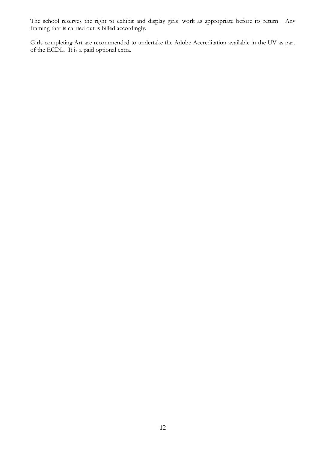The school reserves the right to exhibit and display girls' work as appropriate before its return. Any framing that is carried out is billed accordingly.

Girls completing Art are recommended to undertake the Adobe Accreditation available in the UV as part of the ECDL. It is a paid optional extra.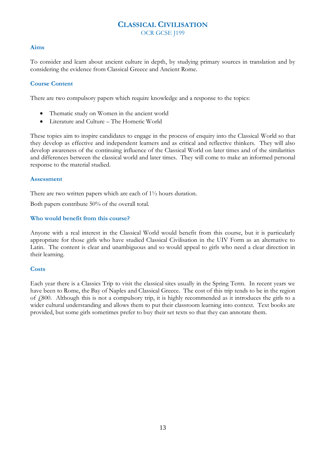#### **CLASSICAL CIVILISATION** OCR GCSE J199

#### **Aims**

To consider and learn about ancient culture in depth, by studying primary sources in translation and by considering the evidence from Classical Greece and Ancient Rome.

#### **Course Content**

There are two compulsory papers which require knowledge and a response to the topics:

- Thematic study on Women in the ancient world
- Literature and Culture The Homeric World

These topics aim to inspire candidates to engage in the process of enquiry into the Classical World so that they develop as effective and independent learners and as critical and reflective thinkers. They will also develop awareness of the continuing influence of the Classical World on later times and of the similarities and differences between the classical world and later times. They will come to make an informed personal response to the material studied.

#### **Assessment**

There are two written papers which are each of 1½ hours duration.

Both papers contribute 50% of the overall total.

#### **Who would benefit from this course?**

Anyone with a real interest in the Classical World would benefit from this course, but it is particularly appropriate for those girls who have studied Classical Civilisation in the UIV Form as an alternative to Latin. The content is clear and unambiguous and so would appeal to girls who need a clear direction in their learning.

#### **Costs**

Each year there is a Classics Trip to visit the classical sites usually in the Spring Term. In recent years we have been to Rome, the Bay of Naples and Classical Greece. The cost of this trip tends to be in the region of  $\ell$ 800. Although this is not a compulsory trip, it is highly recommended as it introduces the girls to a wider cultural understanding and allows them to put their classroom learning into context. Text books are provided, but some girls sometimes prefer to buy their set texts so that they can annotate them.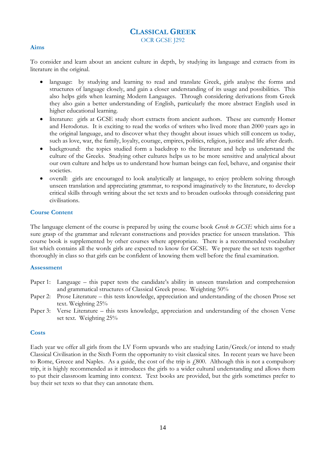#### **CLASSICAL GREEK** OCR GCSE J292

#### **Aims**

To consider and learn about an ancient culture in depth, by studying its language and extracts from its literature in the original.

- language: by studying and learning to read and translate Greek, girls analyse the forms and structures of language closely, and gain a closer understanding of its usage and possibilities. This also helps girls when learning Modern Languages. Through considering derivations from Greek they also gain a better understanding of English, particularly the more abstract English used in higher educational learning.
- literature: girls at GCSE study short extracts from ancient authors. These are currently Homer and Herodotus. It is exciting to read the works of writers who lived more than 2000 years ago in the original language, and to discover what they thought about issues which still concern us today, such as love, war, the family, loyalty, courage, empires, politics, religion, justice and life after death.
- background: the topics studied form a backdrop to the literature and help us understand the culture of the Greeks. Studying other cultures helps us to be more sensitive and analytical about our own culture and helps us to understand how human beings can feel, behave, and organise their societies.
- overall: girls are encouraged to look analytically at language, to enjoy problem solving through unseen translation and appreciating grammar, to respond imaginatively to the literature, to develop critical skills through writing about the set texts and to broaden outlooks through considering past civilisations.

#### **Course Content**

The language element of the course is prepared by using the course book *Greek to GCSE* which aims for a sure grasp of the grammar and relevant constructions and provides practice for unseen translation. This course book is supplemented by other courses where appropriate. There is a recommended vocabulary list which contains all the words girls are expected to know for GCSE. We prepare the set texts together thoroughly in class so that girls can be confident of knowing them well before the final examination.

#### **Assessment**

- Paper 1: Language this paper tests the candidate's ability in unseen translation and comprehension and grammatical structures of Classical Greek prose. Weighting 50%
- Paper 2: Prose Literature this tests knowledge, appreciation and understanding of the chosen Prose set text. Weighting 25%
- Paper 3: Verse Literature this tests knowledge, appreciation and understanding of the chosen Verse set text. Weighting 25%

#### **Costs**

Each year we offer all girls from the LV Form upwards who are studying Latin/Greek/or intend to study Classical Civilisation in the Sixth Form the opportunity to visit classical sites. In recent years we have been to Rome, Greece and Naples. As a guide, the cost of the trip is  $\ell$ 800. Although this is not a compulsory trip, it is highly recommended as it introduces the girls to a wider cultural understanding and allows them to put their classroom learning into context. Text books are provided, but the girls sometimes prefer to buy their set texts so that they can annotate them.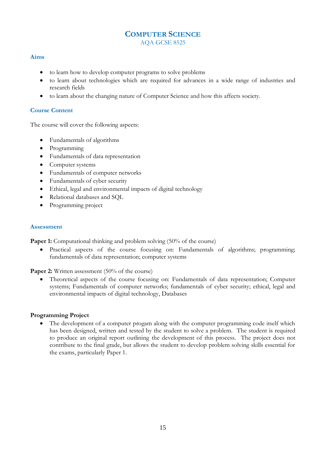#### **COMPUTER SCIENCE** AQA GCSE 8525

#### **Aims**

- to learn how to develop computer programs to solve problems
- to learn about technologies which are required for advances in a wide range of industries and research fields
- to learn about the changing nature of Computer Science and how this affects society.

#### **Course Content**

The course will cover the following aspects:

- Fundamentals of algorithms
- Programming
- Fundamentals of data representation
- Computer systems
- Fundamentals of computer networks
- Fundamentals of cyber security
- Ethical, legal and environmental impacts of digital technology
- Relational databases and SQL
- Programming project

#### **Assessment**

**Paper 1:** Computational thinking and problem solving (50% of the course)

• Practical aspects of the course focusing on: Fundamentals of algorithms; programming; fundamentals of data representation; computer systems

Paper 2: Written assessment (50% of the course)

• Theoretical aspects of the course focusing on: Fundamentals of data representation; Computer systems; Fundamentals of computer networks; fundamentals of cyber security; ethical, legal and environmental impacts of digital technology, Databases

#### **Programming Project**

The development of a computer progam along with the computer programming code itself which has been designed, written and tested by the student to solve a problem. The student is required to produce an original report outlining the development of this process. The project does not contribute to the final grade, but allows the student to develop problem solving skills essential for the exams, particularly Paper 1.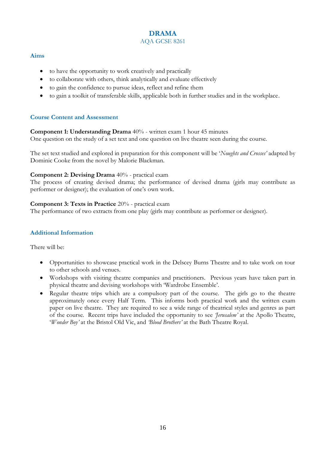#### **DRAMA** AQA GCSE 8261

#### **Aims**

- to have the opportunity to work creatively and practically
- to collaborate with others, think analytically and evaluate effectively
- to gain the confidence to pursue ideas, reflect and refine them
- to gain a toolkit of transferable skills, applicable both in further studies and in the workplace.

#### **Course Content and Assessment**

**Component 1: Understanding Drama** 40% - written exam 1 hour 45 minutes One question on the study of a set text and one question on live theatre seen during the course.

The set text studied and explored in preparation for this component will be '*Noughts and Crosses'* adapted by Dominic Cooke from the novel by Malorie Blackman.

#### **Component 2: Devising Drama** 40% - practical exam

The process of creating devised drama; the performance of devised drama (girls may contribute as performer or designer); the evaluation of one's own work.

#### **Component 3: Texts in Practice** 20% - practical exam

The performance of two extracts from one play (girls may contribute as performer or designer).

#### **Additional Information**

There will be:

- Opportunities to showcase practical work in the Delscey Burns Theatre and to take work on tour to other schools and venues.
- Workshops with visiting theatre companies and practitioners. Previous years have taken part in physical theatre and devising workshops with 'Wardrobe Ensemble'.
- Regular theatre trips which are a compulsory part of the course. The girls go to the theatre approximately once every Half Term. This informs both practical work and the written exam paper on live theatre. They are required to see a wide range of theatrical styles and genres as part of the course. Recent trips have included the opportunity to see *'Jerusalem'* at the Apollo Theatre, '*Wonder Boy'* at the Bristol Old Vic, and *'Blood Brothers'* at the Bath Theatre Royal.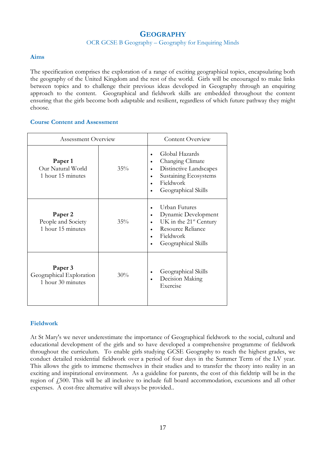# **GEOGRAPHY**

#### OCR GCSE B Geography – Geography for Enquiring Minds

#### **Aims**

The specification comprises the exploration of a range of exciting geographical topics, encapsulating both the geography of the United Kingdom and the rest of the world. Girls will be encouraged to make links between topics and to challenge their previous ideas developed in Geography through an enquiring approach to the content. Geographical and fieldwork skills are embedded throughout the content ensuring that the girls become both adaptable and resilient, regardless of which future pathway they might choose.

#### **Course Content and Assessment**

| Assessment Overview                                           |        | <b>Content Overview</b>                                                                                                          |
|---------------------------------------------------------------|--------|----------------------------------------------------------------------------------------------------------------------------------|
| Paper 1<br>Our Natural World<br>1 hour 15 minutes             | 35%    | Global Hazards<br>Changing Climate<br>Distinctive Landscapes<br>Sustaining Ecosystems<br>Fieldwork<br>Geographical Skills        |
| Paper <sub>2</sub><br>People and Society<br>1 hour 15 minutes | $35\%$ | Urban Futures<br>Dynamic Development<br>UK in the $21st$ Century<br><b>Resource Reliance</b><br>Fieldwork<br>Geographical Skills |
| Paper 3<br>Geographical Exploration<br>1 hour 30 minutes      | 30%    | Geographical Skills<br>Decision Making<br>Exercise                                                                               |

#### **Fieldwork**

At St Mary's we never underestimate the importance of Geographical fieldwork to the social, cultural and educational development of the girls and so have developed a comprehensive programme of fieldwork throughout the curriculum. To enable girls studying GCSE Geography to reach the highest grades, we conduct detailed residential fieldwork over a period of four days in the Summer Term of the LV year. This allows the girls to immerse themselves in their studies and to transfer the theory into reality in an exciting and inspirational environment. As a guideline for parents, the cost of this fieldtrip will be in the region of  $\ell$ 500. This will be all inclusive to include full board accommodation, excursions and all other expenses. A cost-free alternative will always be provided..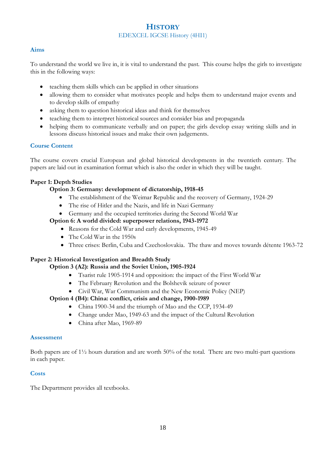## **HISTORY**  EDEXCEL IGCSE History (4HI1)

#### **Aims**

To understand the world we live in, it is vital to understand the past. This course helps the girls to investigate this in the following ways:

- teaching them skills which can be applied in other situations
- allowing them to consider what motivates people and helps them to understand major events and to develop skills of empathy
- asking them to question historical ideas and think for themselves
- teaching them to interpret historical sources and consider bias and propaganda
- helping them to communicate verbally and on paper; the girls develop essay writing skills and in lessons discuss historical issues and make their own judgements.

#### **Course Content**

The course covers crucial European and global historical developments in the twentieth century. The papers are laid out in examination format which is also the order in which they will be taught.

#### **Paper 1: Depth Studies**

#### **Option 3: Germany: development of dictatorship, 1918-45**

- The establishment of the Weimar Republic and the recovery of Germany, 1924-29
- The rise of Hitler and the Nazis, and life in Nazi Germany
- Germany and the occupied territories during the Second World War

#### **Option 6: A world divided: superpower relations, 1943-1972**

- Reasons for the Cold War and early developments, 1945-49
- The Cold War in the 1950s
- Three crises: Berlin, Cuba and Czechoslovakia. The thaw and moves towards détente 1963-72

#### **Paper 2: Historical Investigation and Breadth Study**

#### **Option 3 (A2): Russia and the Soviet Union, 1905-1924**

- Tsarist rule 1905-1914 and opposition: the impact of the First World War
- The February Revolution and the Bolshevik seizure of power
- Civil War, War Communism and the New Economic Policy (NEP)

#### **Option 4 (B4): China: conflict, crisis and change, 1900-1989**

- China 1900-34 and the triumph of Mao and the CCP, 1934-49
- Change under Mao, 1949-63 and the impact of the Cultural Revolution
- China after Mao, 1969-89

#### **Assessment**

Both papers are of  $1\frac{1}{2}$  hours duration and are worth 50% of the total. There are two multi-part questions in each paper.

#### **Costs**

The Department provides all textbooks.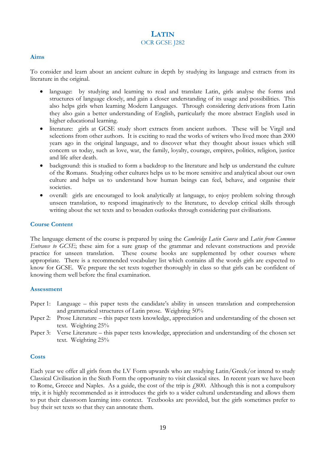## **LATIN** OCR GCSE J282

#### **Aims**

To consider and learn about an ancient culture in depth by studying its language and extracts from its literature in the original.

- language: by studying and learning to read and translate Latin, girls analyse the forms and structures of language closely, and gain a closer understanding of its usage and possibilities. This also helps girls when learning Modern Languages. Through considering derivations from Latin they also gain a better understanding of English, particularly the more abstract English used in higher educational learning.
- literature: girls at GCSE study short extracts from ancient authors. These will be Virgil and selections from other authors. It is exciting to read the works of writers who lived more than 2000 years ago in the original language, and to discover what they thought about issues which still concern us today, such as love, war, the family, loyalty, courage, empires, politics, religion, justice and life after death.
- background: this is studied to form a backdrop to the literature and help us understand the culture of the Romans. Studying other cultures helps us to be more sensitive and analytical about our own culture and helps us to understand how human beings can feel, behave, and organise their societies.
- overall: girls are encouraged to look analytically at language, to enjoy problem solving through unseen translation, to respond imaginatively to the literature, to develop critical skills through writing about the set texts and to broaden outlooks through considering past civilisations.

#### **Course Content**

The language element of the course is prepared by using the *Cambridge Latin Course* and *Latin from Common Entrance to GCSE*; these aim for a sure grasp of the grammar and relevant constructions and provide practice for unseen translation. These course books are supplemented by other courses where appropriate. There is a recommended vocabulary list which contains all the words girls are expected to know for GCSE. We prepare the set texts together thoroughly in class so that girls can be confident of knowing them well before the final examination.

#### **Assessment**

- Paper 1: Language this paper tests the candidate's ability in unseen translation and comprehension and grammatical structures of Latin prose. Weighting 50%
- Paper 2: Prose Literature this paper tests knowledge, appreciation and understanding of the chosen set text. Weighting 25%
- Paper 3: Verse Literature this paper tests knowledge, appreciation and understanding of the chosen set text. Weighting 25%

#### **Costs**

Each year we offer all girls from the LV Form upwards who are studying Latin/Greek/or intend to study Classical Civilisation in the Sixth Form the opportunity to visit classical sites. In recent years we have been to Rome, Greece and Naples. As a guide, the cost of the trip is  $\zeta$ 800. Although this is not a compulsory trip, it is highly recommended as it introduces the girls to a wider cultural understanding and allows them to put their classroom learning into context. Textbooks are provided, but the girls sometimes prefer to buy their set texts so that they can annotate them.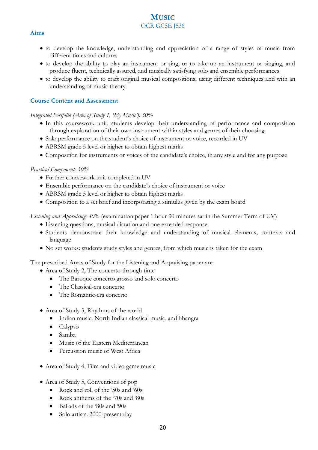## **MUSIC** OCR GCSE J536

#### **Aims**

- to develop the knowledge, understanding and appreciation of a range of styles of music from different times and cultures
- to develop the ability to play an instrument or sing, or to take up an instrument or singing, and produce fluent, technically assured, and musically satisfying solo and ensemble performances
- to develop the ability to craft original musical compositions, using different techniques and with an understanding of music theory.

#### **Course Content and Assessment**

#### *Integrated Portfolio (Area of Study 1, 'My Music'): 30%*

- In this coursework unit, students develop their understanding of performance and composition through exploration of their own instrument within styles and genres of their choosing
- Solo performance on the student's choice of instrument or voice, recorded in UV
- ABRSM grade 5 level or higher to obtain highest marks
- Composition for instruments or voices of the candidate's choice, in any style and for any purpose

#### *Practical Component: 30%*

- Further coursework unit completed in UV
- Ensemble performance on the candidate's choice of instrument or voice
- ABRSM grade 5 level or higher to obtain highest marks
- Composition to a set brief and incorporating a stimulus given by the exam board

*Listening and Appraising: 40%* (examination paper 1 hour 30 minutes sat in the Summer Term of UV)

- Listening questions, musical dictation and one extended response
- Students demonstrate their knowledge and understanding of musical elements, contexts and language
- No set works: students study styles and genres, from which music is taken for the exam

The prescribed Areas of Study for the Listening and Appraising paper are:

- Area of Study 2, The concerto through time
	- The Baroque concerto grosso and solo concerto
	- The Classical-era concerto
	- The Romantic-era concerto
- Area of Study 3, Rhythms of the world
	- Indian music: North Indian classical music, and bhangra
	- Calypso
	- Samba
	- Music of the Eastern Mediterranean
	- Percussion music of West Africa
- Area of Study 4, Film and video game music
- Area of Study 5, Conventions of pop
	- Rock and roll of the '50s and '60s
	- Rock anthems of the '70s and '80s
	- Ballads of the '80s and '90s
	- Solo artists: 2000-present day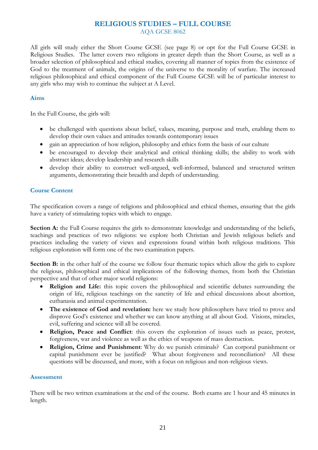#### **RELIGIOUS STUDIES – FULL COURSE** AQA GCSE 8062

All girls will study either the Short Course GCSE (see page 8) or opt for the Full Course GCSE in Religious Studies. The latter covers two religions in greater depth than the Short Course, as well as a broader selection of philosophical and ethical studies, covering all manner of topics from the existence of God to the treatment of animals, the origins of the universe to the morality of warfare. The increased religious philosophical and ethical component of the Full Course GCSE will be of particular interest to any girls who may wish to continue the subject at A Level.

#### **Aims**

In the Full Course, the girls will:

- be challenged with questions about belief, values, meaning, purpose and truth, enabling them to develop their own values and attitudes towards contemporary issues
- gain an appreciation of how religion, philosophy and ethics form the basis of our culture
- be encouraged to develop their analytical and critical thinking skills; the ability to work with abstract ideas; develop leadership and research skills
- develop their ability to construct well-argued, well-informed, balanced and structured written arguments, demonstrating their breadth and depth of understanding.

#### **Course Content**

The specification covers a range of religions and philosophical and ethical themes, ensuring that the girls have a variety of stimulating topics with which to engage.

**Section A:** the Full Course requires the girls to demonstrate knowledge and understanding of the beliefs, teachings and practices of two religions: we explore both Christian and Jewish religious beliefs and practices including the variety of views and expressions found within both religious traditions. This religious exploration will form one of the two examination papers.

**Section B:** in the other half of the course we follow four thematic topics which allow the girls to explore the religious, philosophical and ethical implications of the following themes, from both the Christian perspective and that of other major world religions:

- **Religion and Life:** this topic covers the philosophical and scientific debates surrounding the origin of life, religious teachings on the sanctity of life and ethical discussions about abortion, euthanasia and animal experimentation.
- **The existence of God and revelation:** here we study how philosophers have tried to prove and disprove God's existence and whether we can know anything at all about God. Visions, miracles, evil, suffering and science will all be covered.
- **Religion, Peace and Conflict**: this covers the exploration of issues such as peace, protest, forgiveness, war and violence as well as the ethics of weapons of mass destruction.
- **Religion, Crime and Punishment**: Why do we punish criminals? Can corporal punishment or capital punishment ever be justified? What about forgiveness and reconciliation? All these questions will be discussed, and more, with a focus on religious and non-religious views.

#### **Assessment**

There will be two written examinations at the end of the course. Both exams are 1 hour and 45 minutes in length.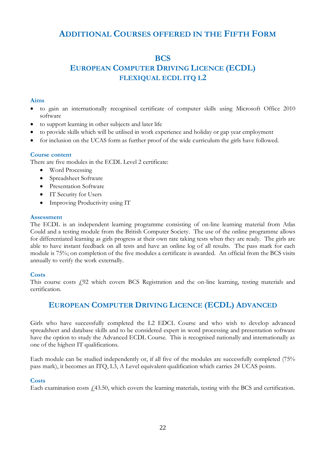# **ADDITIONAL COURSES OFFERED IN THE FIFTH FORM**

## **BCS**

# **EUROPEAN COMPUTER DRIVING LICENCE (ECDL) FLEXIQUAL ECDL ITQ L2**

#### **Aims**

- to gain an internationally recognised certificate of computer skills using Microsoft Office 2010 software
- to support learning in other subjects and later life
- to provide skills which will be utilised in work experience and holiday or gap year employment
- for inclusion on the UCAS form as further proof of the wide curriculum the girls have followed.

#### **Course content**

There are five modules in the ECDL Level 2 certificate:

- Word Processing
- Spreadsheet Software
- Presentation Software
- IT Security for Users
- Improving Productivity using IT

#### **Assessment**

The ECDL is an independent learning programme consisting of on-line learning material from Atlas Could and a testing module from the British Computer Society. The use of the online programme allows for differentiated learning as girls progress at their own rate taking tests when they are ready. The girls are able to have instant feedback on all tests and have an online log of all results. The pass mark for each module is 75%; on completion of the five modules a certificate is awarded. An official from the BCS visits annually to verify the work externally.

#### **Costs**

This course costs  $f<sub>1</sub>92$  which covers BCS Registration and the on-line learning, testing materials and certification.

# **EUROPEAN COMPUTER DRIVING LICENCE (ECDL) ADVANCED**

Girls who have successfully completed the L2 EDCL Course and who wish to develop advanced spreadsheet and database skills and to be considered expert in word processing and presentation software have the option to study the Advanced ECDL Course. This is recognised nationally and internationally as one of the highest IT qualifications.

Each module can be studied independently or, if all five of the modules are successfully completed (75% pass mark), it becomes an ITQ, L3, A Level equivalent qualification which carries 24 UCAS points.

#### **Costs**

Each examination costs  $f<sub>i</sub>43.50$ , which covers the learning materials, testing with the BCS and certification.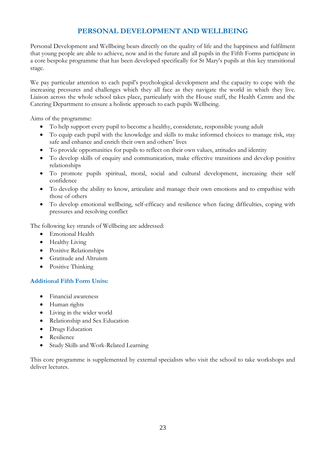# **PERSONAL DEVELOPMENT AND WELLBEING**

Personal Development and Wellbeing bears directly on the quality of life and the happiness and fulfilment that young people are able to achieve, now and in the future and all pupils in the Fifth Forms participate in a core bespoke programme that has been developed specifically for St Mary's pupils at this key transitional stage.

We pay particular attention to each pupil's psychological development and the capacity to cope with the increasing pressures and challenges which they all face as they navigate the world in which they live. Liaison across the whole school takes place, particularly with the House staff, the Health Centre and the Catering Department to ensure a holistic approach to each pupils Wellbeing.

Aims of the programme:

- To help support every pupil to become a healthy, considerate, responsible young adult
- To equip each pupil with the knowledge and skills to make informed choices to manage risk, stay safe and enhance and enrich their own and others' lives
- To provide opportunities for pupils to reflect on their own values, attitudes and identity
- To develop skills of enquiry and communication, make effective transitions and develop positive relationships
- To promote pupils spiritual, moral, social and cultural development, increasing their self confidence
- To develop the ability to know, articulate and manage their own emotions and to empathise with those of others
- To develop emotional wellbeing, self-efficacy and resilience when facing difficulties, coping with pressures and resolving conflict

The following key strands of Wellbeing are addressed:

- Emotional Health
- Healthy Living
- Positive Relationships
- Gratitude and Altruism
- Positive Thinking

#### **Additional Fifth Form Units:**

- Financial awareness
- Human rights
- Living in the wider world
- Relationship and Sex Education
- Drugs Education
- Resilience
- Study Skills and Work-Related Learning

This core programme is supplemented by external specialists who visit the school to take workshops and deliver lectures.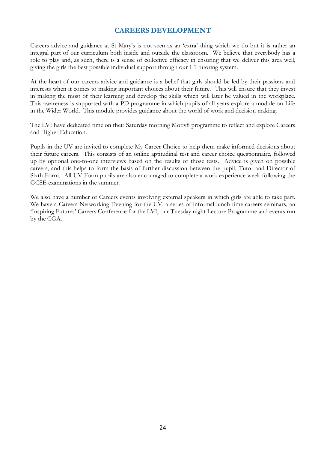## **CAREERS DEVELOPMENT**

Careers advice and guidance at St Mary's is not seen as an 'extra' thing which we do but it is rather an integral part of our curriculum both inside and outside the classroom. We believe that everybody has a role to play and, as such, there is a sense of collective efficacy in ensuring that we deliver this area well, giving the girls the best possible individual support through our 1:1 tutoring system.

At the heart of our careers advice and guidance is a belief that girls should be led by their passions and interests when it comes to making important choices about their future. This will ensure that they invest in making the most of their learning and develop the skills which will later be valued in the workplace. This awareness is supported with a PD programme in which pupils of all years explore a module on Life in the Wider World. This module provides guidance about the world of work and decision making.

The LVI have dedicated time on their Saturday morning Motiv8 programme to reflect and explore Careers and Higher Education.

Pupils in the UV are invited to complete My Career Choice to help them make informed decisions about their future careers. This consists of an online aptitudinal test and career choice questionnaire, followed up by optional one-to-one interviews based on the results of those tests. Advice is given on possible careers, and this helps to form the basis of further discussion between the pupil, Tutor and Director of Sixth Form. All UV Form pupils are also encouraged to complete a work experience week following the GCSE examinations in the summer.

We also have a number of Careers events involving external speakers in which girls are able to take part. We have a Careers Networking Evening for the UV, a series of informal lunch time careers seminars, an 'Inspiring Futures' Careers Conference for the LVI, our Tuesday night Lecture Programme and events run by the CGA.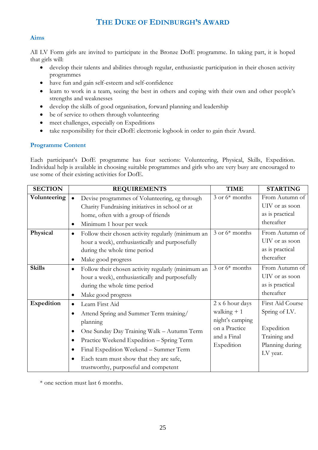# **THE DUKE OF EDINBURGH'S AWARD**

#### **Aims**

All LV Form girls are invited to participate in the Bronze DofE programme. In taking part, it is hoped that girls will:

- develop their talents and abilities through regular, enthusiastic participation in their chosen activity programmes
- have fun and gain self-esteem and self-confidence
- learn to work in a team, seeing the best in others and coping with their own and other people's strengths and weaknesses
- develop the skills of good organisation, forward planning and leadership
- be of service to others through volunteering
- meet challenges, especially on Expeditions
- take responsibility for their eDofE electronic logbook in order to gain their Award.

#### **Programme Content**

Each participant's DofE programme has four sections: Volunteering, Physical, Skills, Expedition. Individual help is available in choosing suitable programmes and girls who are very busy are encouraged to use some of their existing activities for DofE.

| <b>SECTION</b> |           | <b>REQUIREMENTS</b>                                | <b>TIME</b>        | <b>STARTING</b>  |
|----------------|-----------|----------------------------------------------------|--------------------|------------------|
| Volunteering   | $\bullet$ | Devise programmes of Volunteering, eg through      | $3$ or $6*$ months | From Autumn of   |
|                |           | Charity Fundraising initiatives in school or at    |                    | UIV or as soon   |
|                |           | home, often with a group of friends                |                    | as is practical  |
|                |           | Minimum 1 hour per week                            |                    | thereafter       |
| Physical       | $\bullet$ | Follow their chosen activity regularly (minimum an | $3$ or $6*$ months | From Autumn of   |
|                |           | hour a week), enthusiastically and purposefully    |                    | UIV or as soon   |
|                |           | during the whole time period                       |                    | as is practical  |
|                |           | Make good progress                                 |                    | thereafter       |
| <b>Skills</b>  |           | Follow their chosen activity regularly (minimum an | $3$ or $6*$ months | From Autumn of   |
|                |           | hour a week), enthusiastically and purposefully    |                    | UIV or as soon   |
|                |           | during the whole time period                       |                    | as is practical  |
|                |           | Make good progress                                 |                    | thereafter       |
| Expedition     |           | Learn First Aid                                    | 2 x 6 hour days    | First Aid Course |
|                |           | Attend Spring and Summer Term training/            | walking $+1$       | Spring of LV.    |
|                |           | planning                                           | night's camping    |                  |
|                |           | One Sunday Day Training Walk - Autumn Term         | on a Practice      | Expedition       |
|                | ٠         | Practice Weekend Expedition - Spring Term          | and a Final        | Training and     |
|                |           | Final Expedition Weekend - Summer Term             | Expedition         | Planning during  |
|                |           | Each team must show that they are safe,            |                    | LV year.         |
|                |           | trustworthy, purposeful and competent              |                    |                  |

\* one section must last 6 months.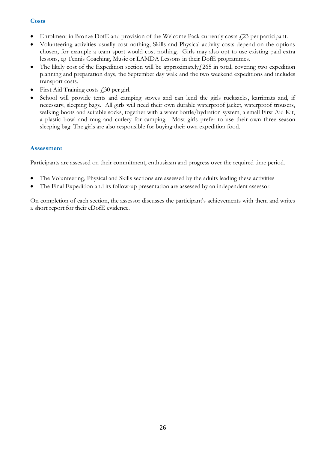#### **Costs**

- Enrolment in Bronze DofE and provision of the Welcome Pack currently costs  $f<sub>i</sub>$  23 per participant.
- Volunteering activities usually cost nothing; Skills and Physical activity costs depend on the options chosen, for example a team sport would cost nothing. Girls may also opt to use existing paid extra lessons, eg Tennis Coaching, Music or LAMDA Lessons in their DofE programmes.
- The likely cost of the Expedition section will be approximately $f(265)$  in total, covering two expedition planning and preparation days, the September day walk and the two weekend expeditions and includes transport costs.
- First Aid Training costs  $f30$  per girl.
- School will provide tents and camping stoves and can lend the girls rucksacks, karrimats and, if necessary, sleeping bags. All girls will need their own durable waterproof jacket, waterproof trousers, walking boots and suitable socks, together with a water bottle/hydration system, a small First Aid Kit, a plastic bowl and mug and cutlery for camping. Most girls prefer to use their own three season sleeping bag. The girls are also responsible for buying their own expedition food.

#### **Assessment**

Participants are assessed on their commitment, enthusiasm and progress over the required time period.

- The Volunteering, Physical and Skills sections are assessed by the adults leading these activities
- The Final Expedition and its follow-up presentation are assessed by an independent assessor.

On completion of each section, the assessor discusses the participant's achievements with them and writes a short report for their eDofE evidence.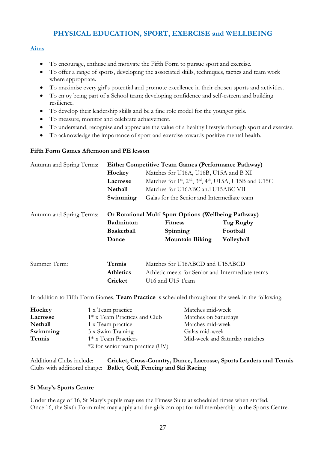# **PHYSICAL EDUCATION, SPORT, EXERCISE and WELLBEING**

#### **Aims**

- To encourage, enthuse and motivate the Fifth Form to pursue sport and exercise.
- To offer a range of sports, developing the associated skills, techniques, tactics and team work where appropriate.
- To maximise every girl's potential and promote excellence in their chosen sports and activities.
- To enjoy being part of a School team; developing confidence and self-esteem and building resilience.
- To develop their leadership skills and be a fine role model for the younger girls.
- To measure, monitor and celebrate achievement.
- To understand, recognise and appreciate the value of a healthy lifestyle through sport and exercise.
- To acknowledge the importance of sport and exercise towards positive mental health.

#### **Fifth Form Games Afternoon and PE lesson**

| Autumn and Spring Terms: | <b>Either Competitive Team Games (Performance Pathway)</b> |                                                                                                         |            |
|--------------------------|------------------------------------------------------------|---------------------------------------------------------------------------------------------------------|------------|
|                          | Hockey                                                     | Matches for U16A, U16B, U15A and B XI                                                                   |            |
|                          | Lacrosse                                                   | Matches for 1 <sup>st</sup> , 2 <sup>nd</sup> , 3 <sup>rd</sup> , 4 <sup>th</sup> , U15A, U15B and U15C |            |
|                          | Netball                                                    | Matches for U16ABC and U15ABC VII                                                                       |            |
|                          | Swimming                                                   | Galas for the Senior and Intermediate team                                                              |            |
| Autumn and Spring Terms: | Or Rotational Multi Sport Options (Wellbeing Pathway)      |                                                                                                         |            |
|                          | <b>Badminton</b>                                           | <b>Fitness</b>                                                                                          | Tag Rugby  |
|                          | <b>Basketball</b>                                          | Spinning                                                                                                | Football   |
|                          | Dance                                                      | <b>Mountain Biking</b>                                                                                  | Volleyball |
|                          |                                                            |                                                                                                         |            |
| Summer Term:             | Tennis                                                     | Matches for U16ABCD and U15ABCD                                                                         |            |
|                          | <b>Athletics</b>                                           | Athletic meets for Senior and Intermediate teams                                                        |            |
|                          | Cricket                                                    | U16 and U15 Team                                                                                        |            |
|                          |                                                            |                                                                                                         |            |

In addition to Fifth Form Games, **Team Practice** is scheduled throughout the week in the following:

| Hockey         | 1 x Team practice                | Matches mid-week              |
|----------------|----------------------------------|-------------------------------|
| Lacrosse       | 1* x Team Practices and Club     | Matches on Saturdays          |
| <b>Netball</b> | 1 x Team practice                | Matches mid-week              |
| Swimming       | 3 x Swim Training                | Galas mid-week                |
| Tennis         | $1*$ x Team Practices            | Mid-week and Saturday matches |
|                | *2 for senior team practice (UV) |                               |

Additional Clubs include: **Cricket, Cross-Country, Dance, Lacrosse, Sports Leaders and Tennis**  Clubs with additional charge**: Ballet, Golf, Fencing and Ski Racing**

#### **St Mary's Sports Centre**

Under the age of 16, St Mary's pupils may use the Fitness Suite at scheduled times when staffed. Once 16, the Sixth Form rules may apply and the girls can opt for full membership to the Sports Centre.